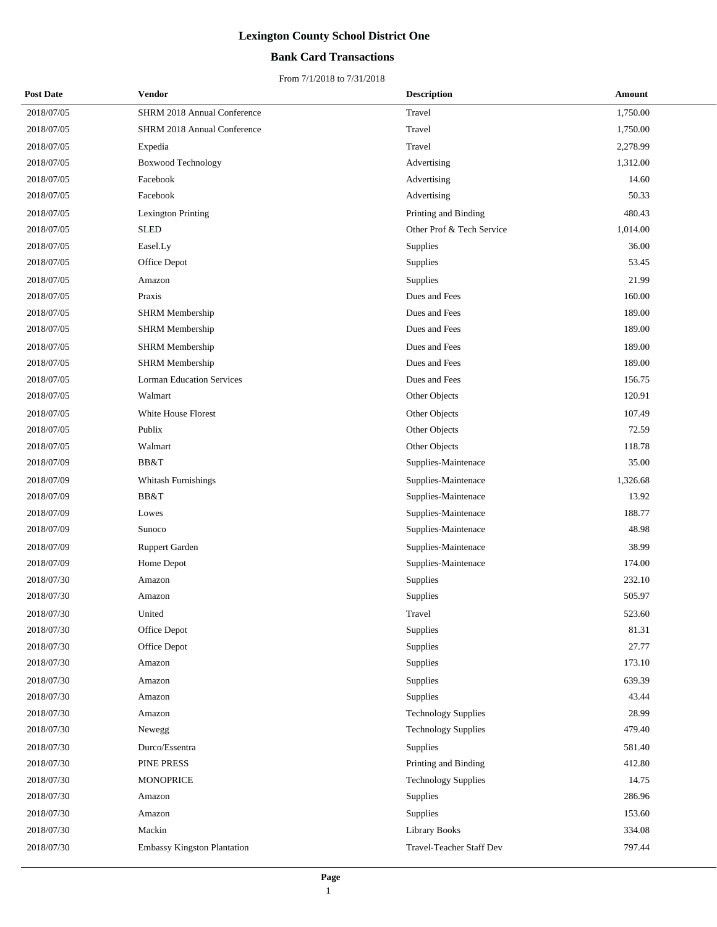## **Bank Card Transactions**

| <b>Post Date</b> | Vendor                             | <b>Description</b>         | Amount   |
|------------------|------------------------------------|----------------------------|----------|
| 2018/07/05       | SHRM 2018 Annual Conference        | Travel                     | 1,750.00 |
| 2018/07/05       | <b>SHRM 2018 Annual Conference</b> | Travel                     | 1,750.00 |
| 2018/07/05       | Expedia                            | Travel                     | 2,278.99 |
| 2018/07/05       | <b>Boxwood Technology</b>          | Advertising                | 1,312.00 |
| 2018/07/05       | Facebook                           | Advertising                | 14.60    |
| 2018/07/05       | Facebook                           | Advertising                | 50.33    |
| 2018/07/05       | Lexington Printing                 | Printing and Binding       | 480.43   |
| 2018/07/05       | <b>SLED</b>                        | Other Prof & Tech Service  | 1,014.00 |
| 2018/07/05       | Easel.Ly                           | Supplies                   | 36.00    |
| 2018/07/05       | Office Depot                       | Supplies                   | 53.45    |
| 2018/07/05       | Amazon                             | <b>Supplies</b>            | 21.99    |
| 2018/07/05       | Praxis                             | Dues and Fees              | 160.00   |
| 2018/07/05       | <b>SHRM Membership</b>             | Dues and Fees              | 189.00   |
| 2018/07/05       | <b>SHRM</b> Membership             | Dues and Fees              | 189.00   |
| 2018/07/05       | <b>SHRM</b> Membership             | Dues and Fees              | 189.00   |
| 2018/07/05       | <b>SHRM</b> Membership             | Dues and Fees              | 189.00   |
| 2018/07/05       | <b>Lorman Education Services</b>   | Dues and Fees              | 156.75   |
| 2018/07/05       | Walmart                            | Other Objects              | 120.91   |
| 2018/07/05       | White House Florest                | Other Objects              | 107.49   |
| 2018/07/05       | Publix                             | Other Objects              | 72.59    |
| 2018/07/05       | Walmart                            | Other Objects              | 118.78   |
| 2018/07/09       | BB&T                               | Supplies-Maintenace        | 35.00    |
| 2018/07/09       | Whitash Furnishings                | Supplies-Maintenace        | 1,326.68 |
| 2018/07/09       | BB&T                               | Supplies-Maintenace        | 13.92    |
| 2018/07/09       | Lowes                              | Supplies-Maintenace        | 188.77   |
| 2018/07/09       | Sunoco                             | Supplies-Maintenace        | 48.98    |
| 2018/07/09       | <b>Ruppert Garden</b>              | Supplies-Maintenace        | 38.99    |
| 2018/07/09       | Home Depot                         | Supplies-Maintenace        | 174.00   |
| 2018/07/30       | Amazon                             | Supplies                   | 232.10   |
| 2018/07/30       | Amazon                             | Supplies                   | 505.97   |
| 2018/07/30       | United                             | Travel                     | 523.60   |
| 2018/07/30       | Office Depot                       | Supplies                   | 81.31    |
| 2018/07/30       | Office Depot                       | Supplies                   | 27.77    |
| 2018/07/30       | Amazon                             | Supplies                   | 173.10   |
| 2018/07/30       | Amazon                             | Supplies                   | 639.39   |
| 2018/07/30       | Amazon                             | Supplies                   | 43.44    |
| 2018/07/30       | Amazon                             | <b>Technology Supplies</b> | 28.99    |
| 2018/07/30       | Newegg                             | <b>Technology Supplies</b> | 479.40   |
| 2018/07/30       | Durco/Essentra                     | Supplies                   | 581.40   |
| 2018/07/30       | PINE PRESS                         | Printing and Binding       | 412.80   |
| 2018/07/30       | <b>MONOPRICE</b>                   | <b>Technology Supplies</b> | 14.75    |
| 2018/07/30       | Amazon                             | Supplies                   | 286.96   |
| 2018/07/30       | Amazon                             | Supplies                   | 153.60   |
| 2018/07/30       | Mackin                             | <b>Library Books</b>       | 334.08   |
| 2018/07/30       | <b>Embassy Kingston Plantation</b> | Travel-Teacher Staff Dev   | 797.44   |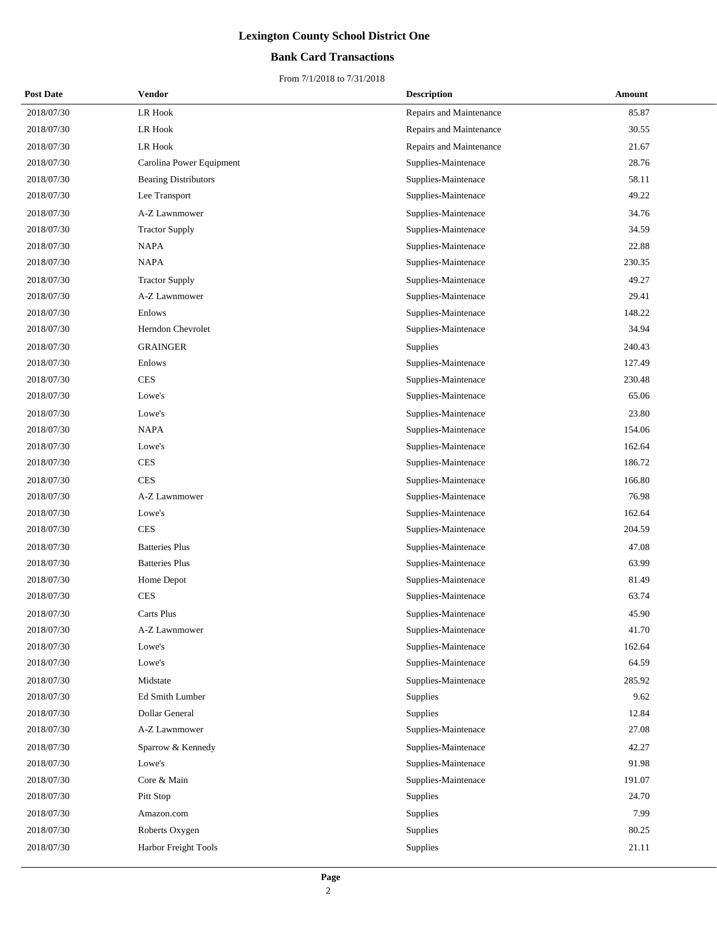## **Bank Card Transactions**

| <b>Post Date</b> | <b>Vendor</b>               | <b>Description</b>      | Amount |
|------------------|-----------------------------|-------------------------|--------|
| 2018/07/30       | <b>LR Hook</b>              | Repairs and Maintenance | 85.87  |
| 2018/07/30       | <b>LR Hook</b>              | Repairs and Maintenance | 30.55  |
| 2018/07/30       | LR Hook                     | Repairs and Maintenance | 21.67  |
| 2018/07/30       | Carolina Power Equipment    | Supplies-Maintenace     | 28.76  |
| 2018/07/30       | <b>Bearing Distributors</b> | Supplies-Maintenace     | 58.11  |
| 2018/07/30       | Lee Transport               | Supplies-Maintenace     | 49.22  |
| 2018/07/30       | A-Z Lawnmower               | Supplies-Maintenace     | 34.76  |
| 2018/07/30       | <b>Tractor Supply</b>       | Supplies-Maintenace     | 34.59  |
| 2018/07/30       | <b>NAPA</b>                 | Supplies-Maintenace     | 22.88  |
| 2018/07/30       | <b>NAPA</b>                 | Supplies-Maintenace     | 230.35 |
| 2018/07/30       | <b>Tractor Supply</b>       | Supplies-Maintenace     | 49.27  |
| 2018/07/30       | A-Z Lawnmower               | Supplies-Maintenace     | 29.41  |
| 2018/07/30       | Enlows                      | Supplies-Maintenace     | 148.22 |
| 2018/07/30       | Herndon Chevrolet           | Supplies-Maintenace     | 34.94  |
| 2018/07/30       | <b>GRAINGER</b>             | Supplies                | 240.43 |
| 2018/07/30       | Enlows                      | Supplies-Maintenace     | 127.49 |
| 2018/07/30       | <b>CES</b>                  | Supplies-Maintenace     | 230.48 |
| 2018/07/30       | Lowe's                      | Supplies-Maintenace     | 65.06  |
| 2018/07/30       | Lowe's                      | Supplies-Maintenace     | 23.80  |
| 2018/07/30       | <b>NAPA</b>                 | Supplies-Maintenace     | 154.06 |
| 2018/07/30       | Lowe's                      | Supplies-Maintenace     | 162.64 |
| 2018/07/30       | <b>CES</b>                  | Supplies-Maintenace     | 186.72 |
| 2018/07/30       | <b>CES</b>                  | Supplies-Maintenace     | 166.80 |
| 2018/07/30       | A-Z Lawnmower               | Supplies-Maintenace     | 76.98  |
| 2018/07/30       | Lowe's                      | Supplies-Maintenace     | 162.64 |
| 2018/07/30       | <b>CES</b>                  | Supplies-Maintenace     | 204.59 |
| 2018/07/30       | <b>Batteries Plus</b>       | Supplies-Maintenace     | 47.08  |
| 2018/07/30       | <b>Batteries Plus</b>       | Supplies-Maintenace     | 63.99  |
| 2018/07/30       | Home Depot                  | Supplies-Maintenace     | 81.49  |
| 2018/07/30       | <b>CES</b>                  | Supplies-Maintenace     | 63.74  |
| 2018/07/30       | Carts Plus                  | Supplies-Maintenace     | 45.90  |
| 2018/07/30       | A-Z Lawnmower               | Supplies-Maintenace     | 41.70  |
| 2018/07/30       | Lowe's                      | Supplies-Maintenace     | 162.64 |
| 2018/07/30       | Lowe's                      | Supplies-Maintenace     | 64.59  |
| 2018/07/30       | Midstate                    | Supplies-Maintenace     | 285.92 |
| 2018/07/30       | Ed Smith Lumber             | Supplies                | 9.62   |
| 2018/07/30       | <b>Dollar General</b>       | Supplies                | 12.84  |
| 2018/07/30       | A-Z Lawnmower               | Supplies-Maintenace     | 27.08  |
| 2018/07/30       | Sparrow & Kennedy           | Supplies-Maintenace     | 42.27  |
| 2018/07/30       | Lowe's                      | Supplies-Maintenace     | 91.98  |
| 2018/07/30       | Core & Main                 | Supplies-Maintenace     | 191.07 |
| 2018/07/30       | Pitt Stop                   | Supplies                | 24.70  |
| 2018/07/30       | Amazon.com                  | Supplies                | 7.99   |
| 2018/07/30       | Roberts Oxygen              | Supplies                | 80.25  |
| 2018/07/30       | Harbor Freight Tools        | Supplies                | 21.11  |
|                  |                             |                         |        |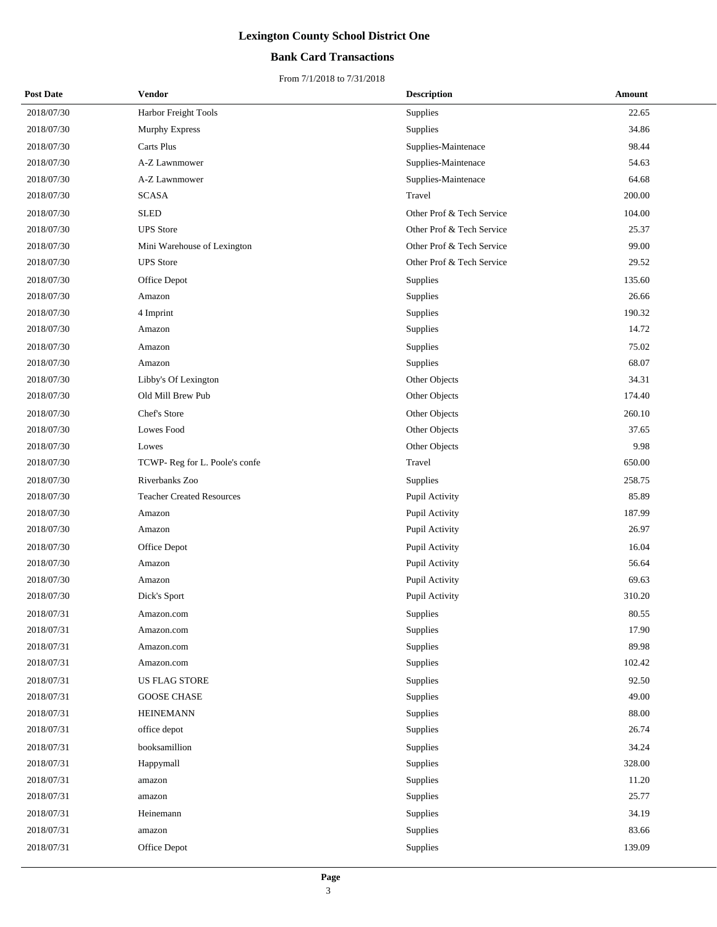## **Bank Card Transactions**

| <b>Post Date</b> | Vendor                           | <b>Description</b>        | Amount |
|------------------|----------------------------------|---------------------------|--------|
| 2018/07/30       | Harbor Freight Tools             | Supplies                  | 22.65  |
| 2018/07/30       | Murphy Express                   | Supplies                  | 34.86  |
| 2018/07/30       | Carts Plus                       | Supplies-Maintenace       | 98.44  |
| 2018/07/30       | A-Z Lawnmower                    | Supplies-Maintenace       | 54.63  |
| 2018/07/30       | A-Z Lawnmower                    | Supplies-Maintenace       | 64.68  |
| 2018/07/30       | <b>SCASA</b>                     | Travel                    | 200.00 |
| 2018/07/30       | <b>SLED</b>                      | Other Prof & Tech Service | 104.00 |
| 2018/07/30       | <b>UPS</b> Store                 | Other Prof & Tech Service | 25.37  |
| 2018/07/30       | Mini Warehouse of Lexington      | Other Prof & Tech Service | 99.00  |
| 2018/07/30       | <b>UPS</b> Store                 | Other Prof & Tech Service | 29.52  |
| 2018/07/30       | Office Depot                     | Supplies                  | 135.60 |
| 2018/07/30       | Amazon                           | Supplies                  | 26.66  |
| 2018/07/30       | 4 Imprint                        | Supplies                  | 190.32 |
| 2018/07/30       | Amazon                           | Supplies                  | 14.72  |
| 2018/07/30       | Amazon                           | Supplies                  | 75.02  |
| 2018/07/30       | Amazon                           | Supplies                  | 68.07  |
| 2018/07/30       | Libby's Of Lexington             | Other Objects             | 34.31  |
| 2018/07/30       | Old Mill Brew Pub                | Other Objects             | 174.40 |
| 2018/07/30       | Chef's Store                     | Other Objects             | 260.10 |
| 2018/07/30       | Lowes Food                       | Other Objects             | 37.65  |
| 2018/07/30       | Lowes                            | Other Objects             | 9.98   |
| 2018/07/30       | TCWP- Reg for L. Poole's confe   | Travel                    | 650.00 |
| 2018/07/30       | Riverbanks Zoo                   | Supplies                  | 258.75 |
| 2018/07/30       | <b>Teacher Created Resources</b> | Pupil Activity            | 85.89  |
| 2018/07/30       | Amazon                           | Pupil Activity            | 187.99 |
| 2018/07/30       | Amazon                           | Pupil Activity            | 26.97  |
| 2018/07/30       | Office Depot                     | Pupil Activity            | 16.04  |
| 2018/07/30       | Amazon                           | Pupil Activity            | 56.64  |
| 2018/07/30       | Amazon                           | Pupil Activity            | 69.63  |
| 2018/07/30       | Dick's Sport                     | Pupil Activity            | 310.20 |
| 2018/07/31       | Amazon.com                       | Supplies                  | 80.55  |
| 2018/07/31       | Amazon.com                       | Supplies                  | 17.90  |
| 2018/07/31       | Amazon.com                       | Supplies                  | 89.98  |
| 2018/07/31       | Amazon.com                       | Supplies                  | 102.42 |
| 2018/07/31       | <b>US FLAG STORE</b>             | Supplies                  | 92.50  |
| 2018/07/31       | <b>GOOSE CHASE</b>               | Supplies                  | 49.00  |
| 2018/07/31       | <b>HEINEMANN</b>                 | Supplies                  | 88.00  |
| 2018/07/31       | office depot                     | Supplies                  | 26.74  |
| 2018/07/31       | booksamillion                    | Supplies                  | 34.24  |
| 2018/07/31       | Happymall                        | Supplies                  | 328.00 |
| 2018/07/31       | amazon                           | Supplies                  | 11.20  |
| 2018/07/31       | amazon                           | Supplies                  | 25.77  |
| 2018/07/31       | Heinemann                        | Supplies                  | 34.19  |
| 2018/07/31       | amazon                           | Supplies                  | 83.66  |
| 2018/07/31       | Office Depot                     | Supplies                  | 139.09 |
|                  |                                  |                           |        |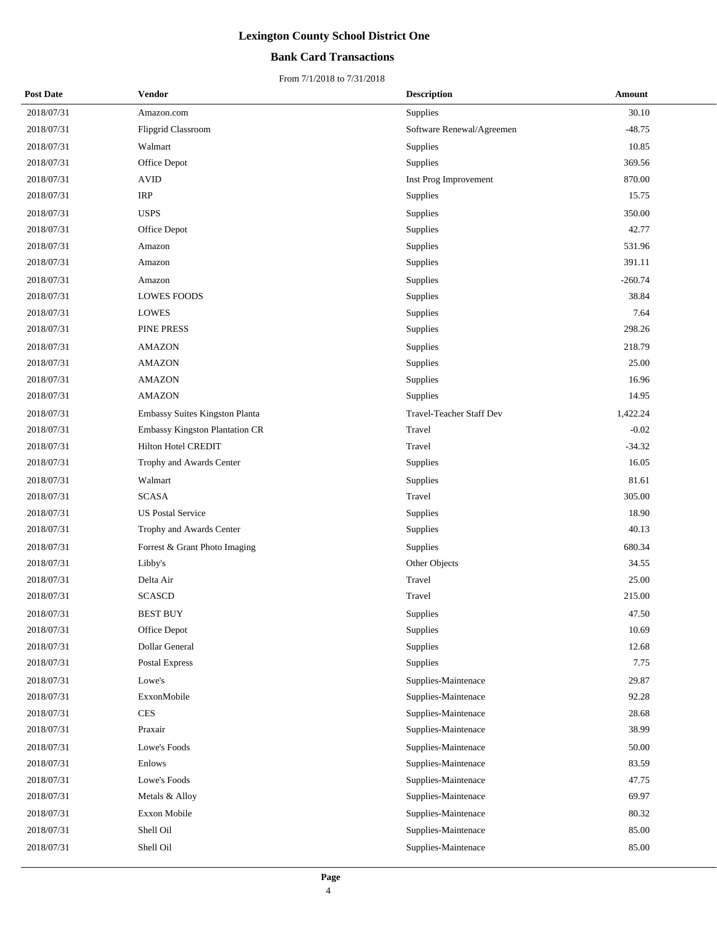## **Bank Card Transactions**

| <b>Post Date</b> | Vendor                         | <b>Description</b>        | Amount    |
|------------------|--------------------------------|---------------------------|-----------|
| 2018/07/31       | Amazon.com                     | Supplies                  | 30.10     |
| 2018/07/31       | Flipgrid Classroom             | Software Renewal/Agreemen | $-48.75$  |
| 2018/07/31       | Walmart                        | Supplies                  | 10.85     |
| 2018/07/31       | Office Depot                   | Supplies                  | 369.56    |
| 2018/07/31       | <b>AVID</b>                    | Inst Prog Improvement     | 870.00    |
| 2018/07/31       | <b>IRP</b>                     | Supplies                  | 15.75     |
| 2018/07/31       | <b>USPS</b>                    | Supplies                  | 350.00    |
| 2018/07/31       | Office Depot                   | Supplies                  | 42.77     |
| 2018/07/31       | Amazon                         | Supplies                  | 531.96    |
| 2018/07/31       | Amazon                         | Supplies                  | 391.11    |
| 2018/07/31       | Amazon                         | Supplies                  | $-260.74$ |
| 2018/07/31       | <b>LOWES FOODS</b>             | Supplies                  | 38.84     |
| 2018/07/31       | <b>LOWES</b>                   | Supplies                  | 7.64      |
| 2018/07/31       | PINE PRESS                     | Supplies                  | 298.26    |
| 2018/07/31       | <b>AMAZON</b>                  | Supplies                  | 218.79    |
| 2018/07/31       | <b>AMAZON</b>                  | Supplies                  | 25.00     |
| 2018/07/31       | <b>AMAZON</b>                  | Supplies                  | 16.96     |
| 2018/07/31       | <b>AMAZON</b>                  | Supplies                  | 14.95     |
| 2018/07/31       | Embassy Suites Kingston Planta | Travel-Teacher Staff Dev  | 1,422.24  |
| 2018/07/31       | Embassy Kingston Plantation CR | Travel                    | $-0.02$   |
| 2018/07/31       | Hilton Hotel CREDIT            | Travel                    | $-34.32$  |
| 2018/07/31       | Trophy and Awards Center       | Supplies                  | 16.05     |
| 2018/07/31       | Walmart                        | Supplies                  | 81.61     |
| 2018/07/31       | <b>SCASA</b>                   | Travel                    | 305.00    |
| 2018/07/31       | <b>US Postal Service</b>       | Supplies                  | 18.90     |
| 2018/07/31       | Trophy and Awards Center       | Supplies                  | 40.13     |
| 2018/07/31       | Forrest & Grant Photo Imaging  | Supplies                  | 680.34    |
| 2018/07/31       | Libby's                        | Other Objects             | 34.55     |
| 2018/07/31       | Delta Air                      | Travel                    | 25.00     |
| 2018/07/31       | <b>SCASCD</b>                  | Travel                    | 215.00    |
| 2018/07/31       | <b>BEST BUY</b>                | Supplies                  | 47.50     |
| 2018/07/31       | Office Depot                   | Supplies                  | 10.69     |
| 2018/07/31       | Dollar General                 | Supplies                  | 12.68     |
| 2018/07/31       | Postal Express                 | Supplies                  | 7.75      |
| 2018/07/31       | Lowe's                         | Supplies-Maintenace       | 29.87     |
| 2018/07/31       | ExxonMobile                    | Supplies-Maintenace       | 92.28     |
| 2018/07/31       | <b>CES</b>                     | Supplies-Maintenace       | 28.68     |
| 2018/07/31       | Praxair                        | Supplies-Maintenace       | 38.99     |
| 2018/07/31       | Lowe's Foods                   | Supplies-Maintenace       | 50.00     |
| 2018/07/31       | Enlows                         | Supplies-Maintenace       | 83.59     |
| 2018/07/31       | Lowe's Foods                   | Supplies-Maintenace       | 47.75     |
| 2018/07/31       | Metals & Alloy                 | Supplies-Maintenace       | 69.97     |
| 2018/07/31       | <b>Exxon Mobile</b>            | Supplies-Maintenace       | 80.32     |
| 2018/07/31       | Shell Oil                      | Supplies-Maintenace       | 85.00     |
| 2018/07/31       | Shell Oil                      | Supplies-Maintenace       | 85.00     |
|                  |                                |                           |           |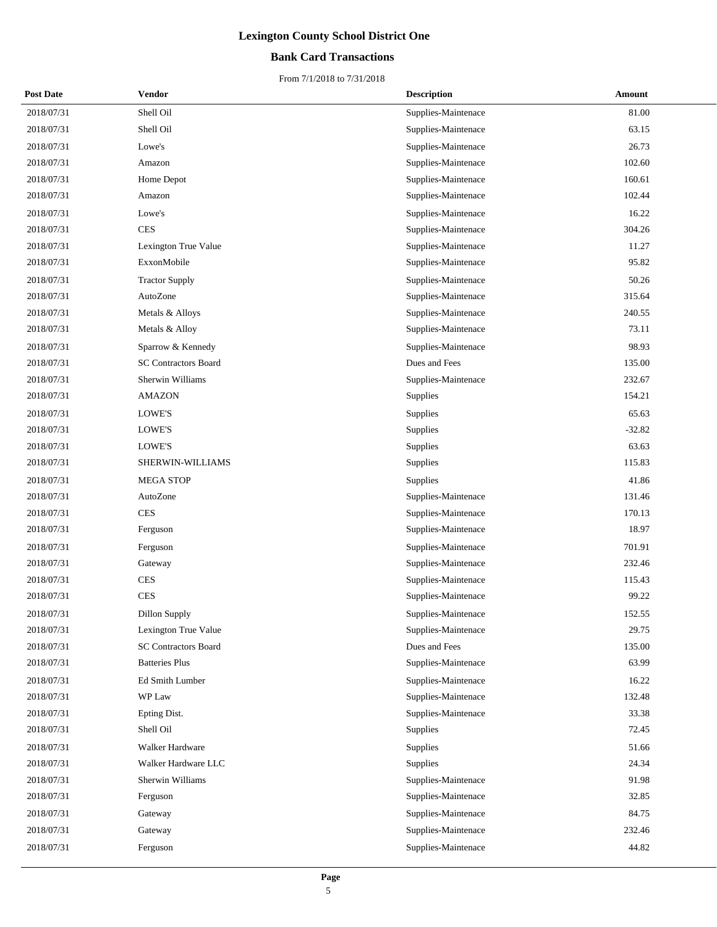## **Bank Card Transactions**

| <b>Post Date</b> | <b>Vendor</b>               | <b>Description</b>  | Amount   |
|------------------|-----------------------------|---------------------|----------|
| 2018/07/31       | Shell Oil                   | Supplies-Maintenace | 81.00    |
| 2018/07/31       | Shell Oil                   | Supplies-Maintenace | 63.15    |
| 2018/07/31       | Lowe's                      | Supplies-Maintenace | 26.73    |
| 2018/07/31       | Amazon                      | Supplies-Maintenace | 102.60   |
| 2018/07/31       | Home Depot                  | Supplies-Maintenace | 160.61   |
| 2018/07/31       | Amazon                      | Supplies-Maintenace | 102.44   |
| 2018/07/31       | Lowe's                      | Supplies-Maintenace | 16.22    |
| 2018/07/31       | <b>CES</b>                  | Supplies-Maintenace | 304.26   |
| 2018/07/31       | Lexington True Value        | Supplies-Maintenace | 11.27    |
| 2018/07/31       | ExxonMobile                 | Supplies-Maintenace | 95.82    |
| 2018/07/31       | <b>Tractor Supply</b>       | Supplies-Maintenace | 50.26    |
| 2018/07/31       | AutoZone                    | Supplies-Maintenace | 315.64   |
| 2018/07/31       | Metals & Alloys             | Supplies-Maintenace | 240.55   |
| 2018/07/31       | Metals & Alloy              | Supplies-Maintenace | 73.11    |
| 2018/07/31       | Sparrow & Kennedy           | Supplies-Maintenace | 98.93    |
| 2018/07/31       | <b>SC Contractors Board</b> | Dues and Fees       | 135.00   |
| 2018/07/31       | Sherwin Williams            | Supplies-Maintenace | 232.67   |
| 2018/07/31       | <b>AMAZON</b>               | Supplies            | 154.21   |
| 2018/07/31       | LOWE'S                      | Supplies            | 65.63    |
| 2018/07/31       | LOWE'S                      | Supplies            | $-32.82$ |
| 2018/07/31       | LOWE'S                      | Supplies            | 63.63    |
| 2018/07/31       | SHERWIN-WILLIAMS            | Supplies            | 115.83   |
| 2018/07/31       | MEGA STOP                   | Supplies            | 41.86    |
| 2018/07/31       | AutoZone                    | Supplies-Maintenace | 131.46   |
| 2018/07/31       | <b>CES</b>                  | Supplies-Maintenace | 170.13   |
| 2018/07/31       | Ferguson                    | Supplies-Maintenace | 18.97    |
| 2018/07/31       | Ferguson                    | Supplies-Maintenace | 701.91   |
| 2018/07/31       | Gateway                     | Supplies-Maintenace | 232.46   |
| 2018/07/31       | <b>CES</b>                  | Supplies-Maintenace | 115.43   |
| 2018/07/31       | <b>CES</b>                  | Supplies-Maintenace | 99.22    |
| 2018/07/31       | Dillon Supply               | Supplies-Maintenace | 152.55   |
| 2018/07/31       | Lexington True Value        | Supplies-Maintenace | 29.75    |
| 2018/07/31       | <b>SC Contractors Board</b> | Dues and Fees       | 135.00   |
| 2018/07/31       | <b>Batteries Plus</b>       | Supplies-Maintenace | 63.99    |
| 2018/07/31       | Ed Smith Lumber             | Supplies-Maintenace | 16.22    |
| 2018/07/31       | WP Law                      | Supplies-Maintenace | 132.48   |
| 2018/07/31       | Epting Dist.                | Supplies-Maintenace | 33.38    |
| 2018/07/31       | Shell Oil                   | Supplies            | 72.45    |
| 2018/07/31       | <b>Walker Hardware</b>      | Supplies            | 51.66    |
| 2018/07/31       | Walker Hardware LLC         | Supplies            | 24.34    |
| 2018/07/31       | Sherwin Williams            | Supplies-Maintenace | 91.98    |
| 2018/07/31       | Ferguson                    | Supplies-Maintenace | 32.85    |
| 2018/07/31       | Gateway                     | Supplies-Maintenace | 84.75    |
| 2018/07/31       | Gateway                     | Supplies-Maintenace | 232.46   |
| 2018/07/31       | Ferguson                    | Supplies-Maintenace | 44.82    |
|                  |                             |                     |          |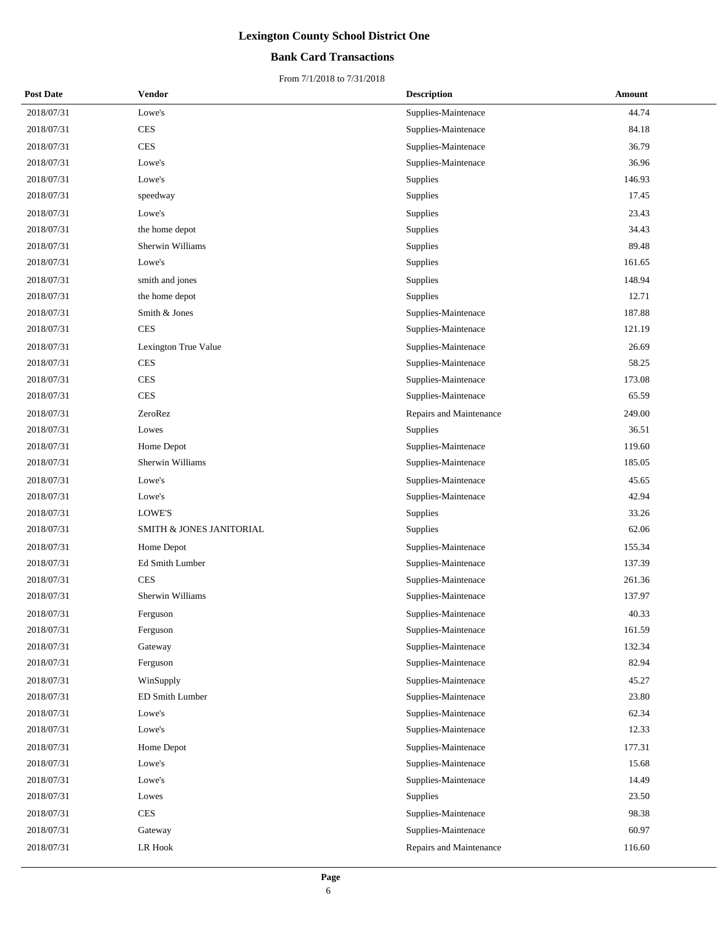## **Bank Card Transactions**

| <b>Post Date</b> | <b>Vendor</b>            | <b>Description</b>      | <b>Amount</b> |
|------------------|--------------------------|-------------------------|---------------|
| 2018/07/31       | Lowe's                   | Supplies-Maintenace     | 44.74         |
| 2018/07/31       | <b>CES</b>               | Supplies-Maintenace     | 84.18         |
| 2018/07/31       | <b>CES</b>               | Supplies-Maintenace     | 36.79         |
| 2018/07/31       | Lowe's                   | Supplies-Maintenace     | 36.96         |
| 2018/07/31       | Lowe's                   | Supplies                | 146.93        |
| 2018/07/31       | speedway                 | Supplies                | 17.45         |
| 2018/07/31       | Lowe's                   | Supplies                | 23.43         |
| 2018/07/31       | the home depot           | Supplies                | 34.43         |
| 2018/07/31       | Sherwin Williams         | Supplies                | 89.48         |
| 2018/07/31       | Lowe's                   | Supplies                | 161.65        |
| 2018/07/31       | smith and jones          | Supplies                | 148.94        |
| 2018/07/31       | the home depot           | Supplies                | 12.71         |
| 2018/07/31       | Smith & Jones            | Supplies-Maintenace     | 187.88        |
| 2018/07/31       | <b>CES</b>               | Supplies-Maintenace     | 121.19        |
| 2018/07/31       | Lexington True Value     | Supplies-Maintenace     | 26.69         |
| 2018/07/31       | <b>CES</b>               | Supplies-Maintenace     | 58.25         |
| 2018/07/31       | <b>CES</b>               | Supplies-Maintenace     | 173.08        |
| 2018/07/31       | <b>CES</b>               | Supplies-Maintenace     | 65.59         |
| 2018/07/31       | ZeroRez                  | Repairs and Maintenance | 249.00        |
| 2018/07/31       | Lowes                    | Supplies                | 36.51         |
| 2018/07/31       | Home Depot               | Supplies-Maintenace     | 119.60        |
| 2018/07/31       | Sherwin Williams         | Supplies-Maintenace     | 185.05        |
| 2018/07/31       | Lowe's                   | Supplies-Maintenace     | 45.65         |
| 2018/07/31       | Lowe's                   | Supplies-Maintenace     | 42.94         |
| 2018/07/31       | LOWE'S                   | Supplies                | 33.26         |
| 2018/07/31       | SMITH & JONES JANITORIAL | Supplies                | 62.06         |
| 2018/07/31       | Home Depot               | Supplies-Maintenace     | 155.34        |
| 2018/07/31       | <b>Ed Smith Lumber</b>   | Supplies-Maintenace     | 137.39        |
| 2018/07/31       | <b>CES</b>               | Supplies-Maintenace     | 261.36        |
| 2018/07/31       | Sherwin Williams         | Supplies-Maintenace     | 137.97        |
| 2018/07/31       | Ferguson                 | Supplies-Maintenace     | 40.33         |
| 2018/07/31       | Ferguson                 | Supplies-Maintenace     | 161.59        |
| 2018/07/31       | Gateway                  | Supplies-Maintenace     | 132.34        |
| 2018/07/31       | Ferguson                 | Supplies-Maintenace     | 82.94         |
| 2018/07/31       | WinSupply                | Supplies-Maintenace     | 45.27         |
| 2018/07/31       | ED Smith Lumber          | Supplies-Maintenace     | 23.80         |
| 2018/07/31       | Lowe's                   | Supplies-Maintenace     | 62.34         |
| 2018/07/31       | Lowe's                   | Supplies-Maintenace     | 12.33         |
| 2018/07/31       | Home Depot               | Supplies-Maintenace     | 177.31        |
| 2018/07/31       | Lowe's                   | Supplies-Maintenace     | 15.68         |
| 2018/07/31       | Lowe's                   | Supplies-Maintenace     | 14.49         |
| 2018/07/31       | Lowes                    | Supplies                | 23.50         |
| 2018/07/31       | <b>CES</b>               | Supplies-Maintenace     | 98.38         |
| 2018/07/31       | Gateway                  | Supplies-Maintenace     | 60.97         |
| 2018/07/31       | ${\rm LR}$ Hook          | Repairs and Maintenance | 116.60        |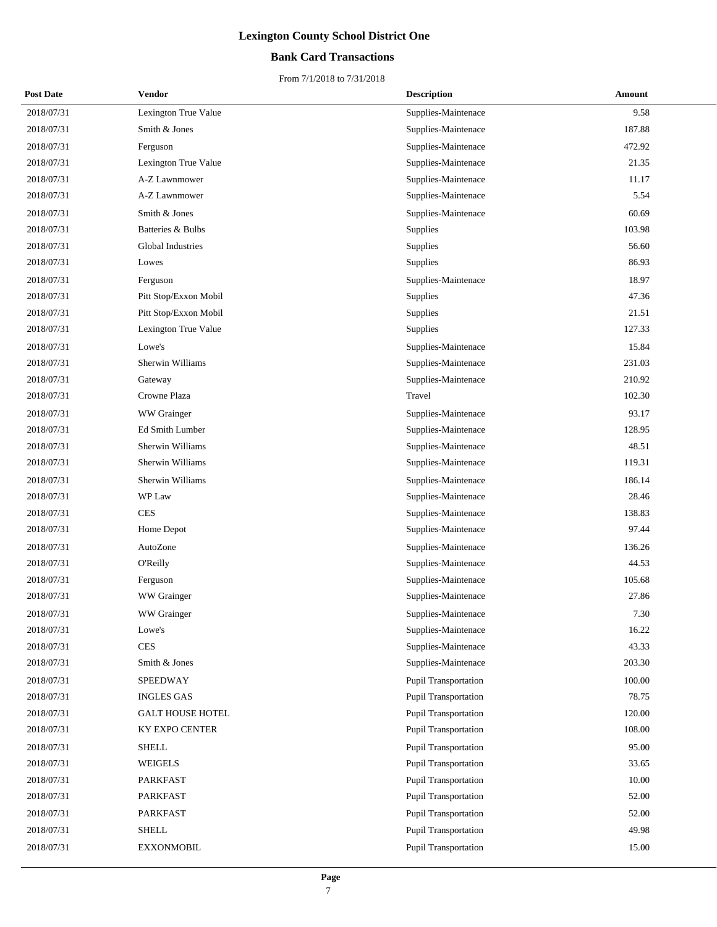## **Bank Card Transactions**

| <b>Post Date</b> | Vendor                  | <b>Description</b>          | Amount |
|------------------|-------------------------|-----------------------------|--------|
| 2018/07/31       | Lexington True Value    | Supplies-Maintenace         | 9.58   |
| 2018/07/31       | Smith & Jones           | Supplies-Maintenace         | 187.88 |
| 2018/07/31       | Ferguson                | Supplies-Maintenace         | 472.92 |
| 2018/07/31       | Lexington True Value    | Supplies-Maintenace         | 21.35  |
| 2018/07/31       | A-Z Lawnmower           | Supplies-Maintenace         | 11.17  |
| 2018/07/31       | A-Z Lawnmower           | Supplies-Maintenace         | 5.54   |
| 2018/07/31       | Smith & Jones           | Supplies-Maintenace         | 60.69  |
| 2018/07/31       | Batteries & Bulbs       | Supplies                    | 103.98 |
| 2018/07/31       | Global Industries       | Supplies                    | 56.60  |
| 2018/07/31       | Lowes                   | Supplies                    | 86.93  |
| 2018/07/31       | Ferguson                | Supplies-Maintenace         | 18.97  |
| 2018/07/31       | Pitt Stop/Exxon Mobil   | Supplies                    | 47.36  |
| 2018/07/31       | Pitt Stop/Exxon Mobil   | Supplies                    | 21.51  |
| 2018/07/31       | Lexington True Value    | Supplies                    | 127.33 |
| 2018/07/31       | Lowe's                  | Supplies-Maintenace         | 15.84  |
| 2018/07/31       | Sherwin Williams        | Supplies-Maintenace         | 231.03 |
| 2018/07/31       | Gateway                 | Supplies-Maintenace         | 210.92 |
| 2018/07/31       | Crowne Plaza            | Travel                      | 102.30 |
| 2018/07/31       | WW Grainger             | Supplies-Maintenace         | 93.17  |
| 2018/07/31       | Ed Smith Lumber         | Supplies-Maintenace         | 128.95 |
| 2018/07/31       | Sherwin Williams        | Supplies-Maintenace         | 48.51  |
| 2018/07/31       | Sherwin Williams        | Supplies-Maintenace         | 119.31 |
| 2018/07/31       | Sherwin Williams        | Supplies-Maintenace         | 186.14 |
| 2018/07/31       | WP Law                  | Supplies-Maintenace         | 28.46  |
| 2018/07/31       | <b>CES</b>              | Supplies-Maintenace         | 138.83 |
| 2018/07/31       | Home Depot              | Supplies-Maintenace         | 97.44  |
| 2018/07/31       | AutoZone                | Supplies-Maintenace         | 136.26 |
| 2018/07/31       | O'Reilly                | Supplies-Maintenace         | 44.53  |
| 2018/07/31       | Ferguson                | Supplies-Maintenace         | 105.68 |
| 2018/07/31       | WW Grainger             | Supplies-Maintenace         | 27.86  |
| 2018/07/31       | WW Grainger             | Supplies-Maintenace         | 7.30   |
| 2018/07/31       | Lowe's                  | Supplies-Maintenace         | 16.22  |
| 2018/07/31       | <b>CES</b>              | Supplies-Maintenace         | 43.33  |
| 2018/07/31       | Smith & Jones           | Supplies-Maintenace         | 203.30 |
| 2018/07/31       | <b>SPEEDWAY</b>         | <b>Pupil Transportation</b> | 100.00 |
| 2018/07/31       | <b>INGLES GAS</b>       | <b>Pupil Transportation</b> | 78.75  |
| 2018/07/31       | <b>GALT HOUSE HOTEL</b> | <b>Pupil Transportation</b> | 120.00 |
| 2018/07/31       | KY EXPO CENTER          | Pupil Transportation        | 108.00 |
| 2018/07/31       | <b>SHELL</b>            | <b>Pupil Transportation</b> | 95.00  |
| 2018/07/31       | WEIGELS                 | <b>Pupil Transportation</b> | 33.65  |
| 2018/07/31       | <b>PARKFAST</b>         | <b>Pupil Transportation</b> | 10.00  |
| 2018/07/31       | <b>PARKFAST</b>         | Pupil Transportation        | 52.00  |
| 2018/07/31       | <b>PARKFAST</b>         | <b>Pupil Transportation</b> | 52.00  |
| 2018/07/31       | <b>SHELL</b>            | Pupil Transportation        | 49.98  |
| 2018/07/31       | <b>EXXONMOBIL</b>       | Pupil Transportation        | 15.00  |
|                  |                         |                             |        |